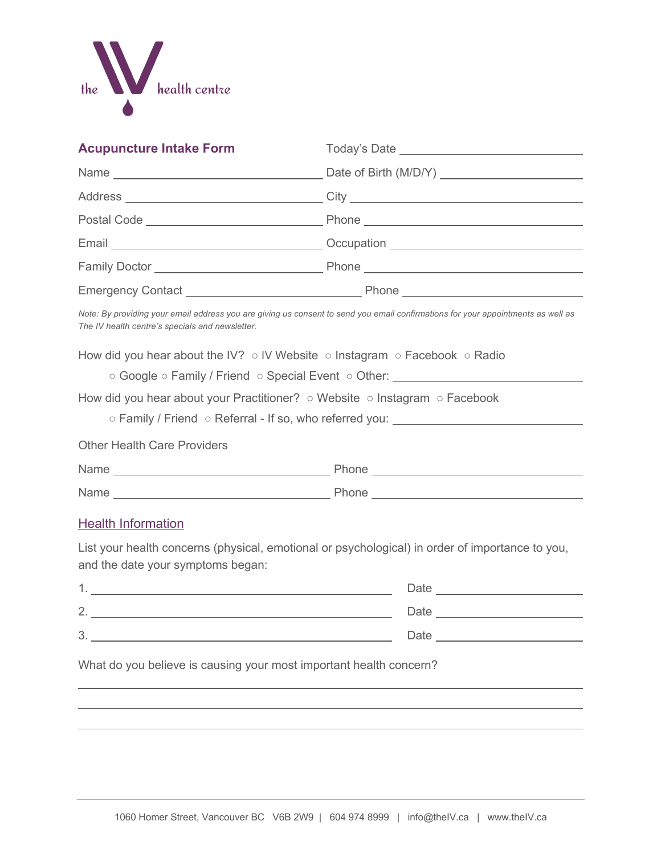

| <b>Acupuncture Intake Form</b>                                                                     |                                                                                                                                  |
|----------------------------------------------------------------------------------------------------|----------------------------------------------------------------------------------------------------------------------------------|
|                                                                                                    |                                                                                                                                  |
|                                                                                                    |                                                                                                                                  |
|                                                                                                    |                                                                                                                                  |
|                                                                                                    |                                                                                                                                  |
|                                                                                                    |                                                                                                                                  |
|                                                                                                    |                                                                                                                                  |
| The IV health centre's specials and newsletter.                                                    | Note: By providing your email address you are giving us consent to send you email confirmations for your appointments as well as |
| How did you hear about the IV? $\circ$ IV Website $\circ$ Instagram $\circ$ Facebook $\circ$ Radio | ○ Google ○ Family / Friend ○ Special Event ○ Other: ___________________________                                                  |
| How did you hear about your Practitioner? $\circ$ Website $\circ$ Instagram $\circ$ Facebook       | ○ Family / Friend ○ Referral - If so, who referred you: _______________________                                                  |
| <b>Other Health Care Providers</b>                                                                 |                                                                                                                                  |
|                                                                                                    |                                                                                                                                  |
|                                                                                                    |                                                                                                                                  |
| <b>Health Information</b>                                                                          |                                                                                                                                  |
| and the date your symptoms began:                                                                  | List your health concerns (physical, emotional or psychological) in order of importance to you,                                  |
|                                                                                                    |                                                                                                                                  |
|                                                                                                    |                                                                                                                                  |
|                                                                                                    |                                                                                                                                  |
| What do you believe is causing your most important health concern?                                 |                                                                                                                                  |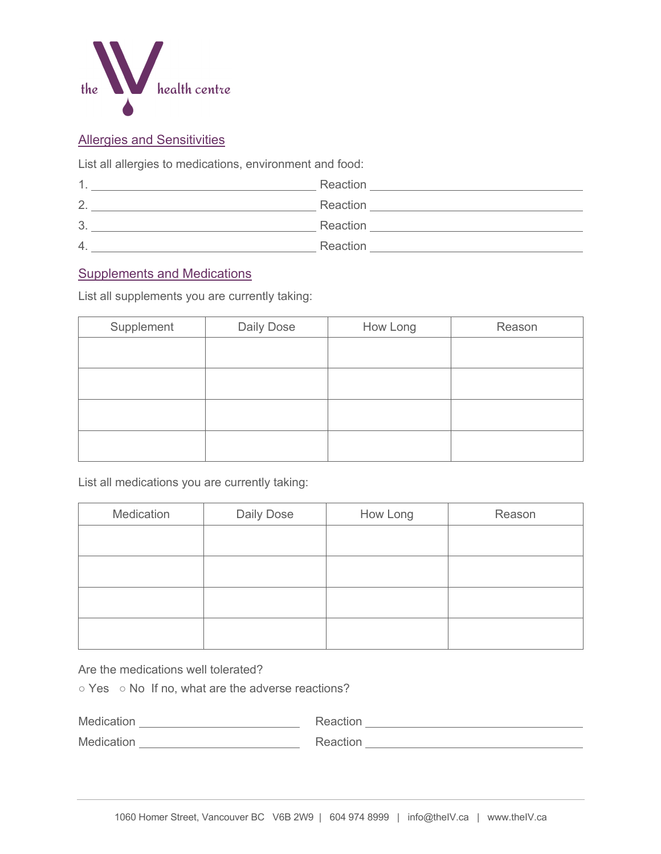

### Allergies and Sensitivities

List all allergies to medications, environment and food:

| -1     | Reaction |
|--------|----------|
| っ<br>∼ | Reaction |
| 3      | Reaction |
| 4.     | Reaction |

### Supplements and Medications

List all supplements you are currently taking:

| Daily Dose | How Long | Reason |
|------------|----------|--------|
|            |          |        |
|            |          |        |
|            |          |        |
|            |          |        |
|            |          |        |
|            |          |        |

List all medications you are currently taking:

| Medication | Daily Dose | How Long | Reason |
|------------|------------|----------|--------|
|            |            |          |        |
|            |            |          |        |
|            |            |          |        |
|            |            |          |        |
|            |            |          |        |

Are the medications well tolerated?

○ Yes ○ No If no, what are the adverse reactions?

| Medication | Reaction |
|------------|----------|
| Medication | Reaction |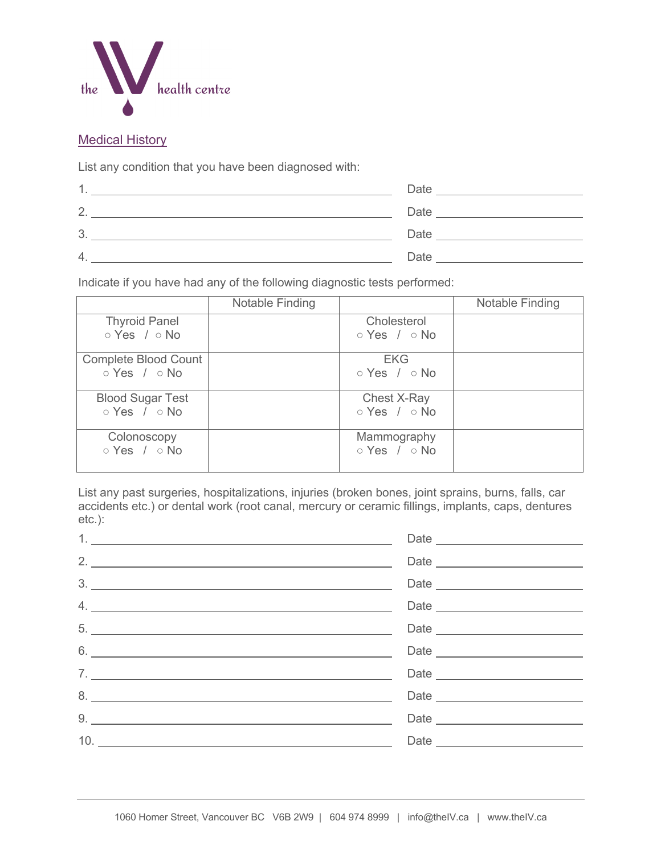

#### **Medical History**

List any condition that you have been diagnosed with:

| $\mathbf 1$ .    | Date |
|------------------|------|
| 2.               | Date |
| 3.               | Date |
| $\overline{4}$ . | Date |

Indicate if you have had any of the following diagnostic tests performed:

|                                                         | Notable Finding |                                         | Notable Finding |
|---------------------------------------------------------|-----------------|-----------------------------------------|-----------------|
| <b>Thyroid Panel</b><br>$\circ$ Yes / $\circ$ No        |                 | Cholesterol<br>$\circ$ Yes / $\circ$ No |                 |
| <b>Complete Blood Count</b><br>$\circ$ Yes / $\circ$ No |                 | <b>EKG</b><br>$\circ$ Yes / $\circ$ No  |                 |
| <b>Blood Sugar Test</b><br>$\circ$ Yes / $\circ$ No     |                 | Chest X-Ray<br>$\circ$ Yes / $\circ$ No |                 |
| Colonoscopy<br>$\circ$ Yes / $\circ$ No                 |                 | Mammography<br>$\circ$ Yes / $\circ$ No |                 |

List any past surgeries, hospitalizations, injuries (broken bones, joint sprains, burns, falls, car accidents etc.) or dental work (root canal, mercury or ceramic fillings, implants, caps, dentures etc.):

|                               | Date |
|-------------------------------|------|
|                               |      |
|                               |      |
|                               |      |
| $6.$ $\overline{\phantom{a}}$ |      |
|                               |      |
| 8.                            |      |
|                               |      |
|                               |      |
|                               |      |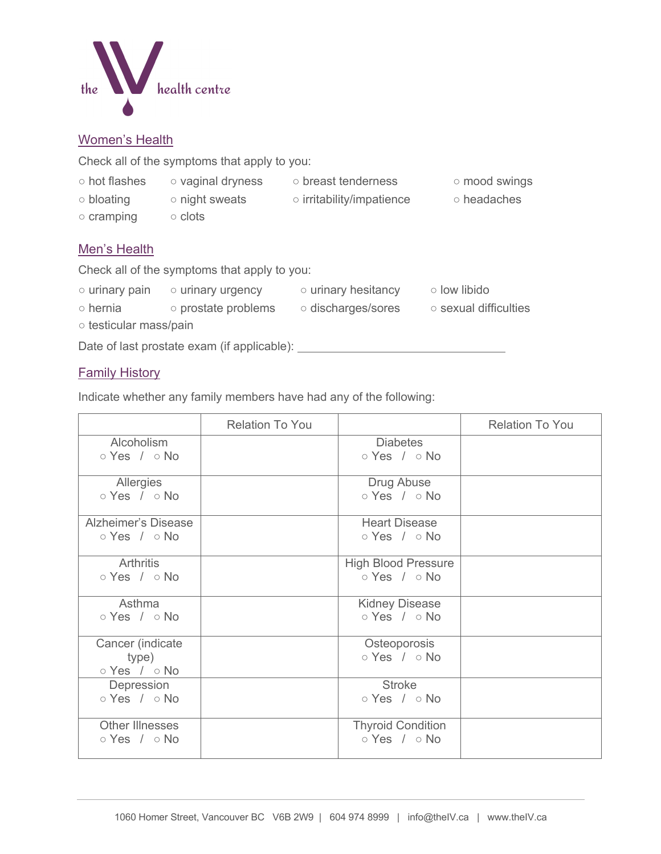

#### Women's Health

Check all of the symptoms that apply to you:

- 
- 
- hot flashes vaginal dryness breast tenderness mood swings
	-
- bloating night sweats irritability/impatience headaches
- cramping clots

### Men's Health

Check all of the symptoms that apply to you:

- urinary pain urinary urgency urinary hesitancy low libido ○ hernia ○ prostate problems ○ discharges/sores ○ sexual difficulties
- testicular mass/pain

Date of last prostate exam (if applicable):

## Family History

Indicate whether any family members have had any of the following:

|                                                        | <b>Relation To You</b> |                                                        | <b>Relation To You</b> |
|--------------------------------------------------------|------------------------|--------------------------------------------------------|------------------------|
| Alcoholism<br>$\circ$ Yes / $\circ$ No                 |                        | <b>Diabetes</b><br>$\circ$ Yes / $\circ$ No            |                        |
| Allergies<br>$\circ$ Yes / $\circ$ No                  |                        | Drug Abuse<br>$\circ$ Yes / $\circ$ No                 |                        |
| <b>Alzheimer's Disease</b><br>$\circ$ Yes / $\circ$ No |                        | <b>Heart Disease</b><br>$\circ$ Yes / $\circ$ No       |                        |
| <b>Arthritis</b><br>$\circ$ Yes / $\circ$ No           |                        | <b>High Blood Pressure</b><br>$\circ$ Yes / $\circ$ No |                        |
| Asthma<br>$\circ$ Yes / $\circ$ No                     |                        | <b>Kidney Disease</b><br>$\circ$ Yes / $\circ$ No      |                        |
| Cancer (indicate<br>type)<br>$\circ$ Yes / $\circ$ No  |                        | Osteoporosis<br>$\circ$ Yes / $\circ$ No               |                        |
| Depression<br>$\circ$ Yes / $\circ$ No                 |                        | <b>Stroke</b><br>$\circ$ Yes / $\circ$ No              |                        |
| <b>Other Illnesses</b><br>$\circ$ Yes / $\circ$ No     |                        | <b>Thyroid Condition</b><br>$\circ$ Yes / $\circ$ No   |                        |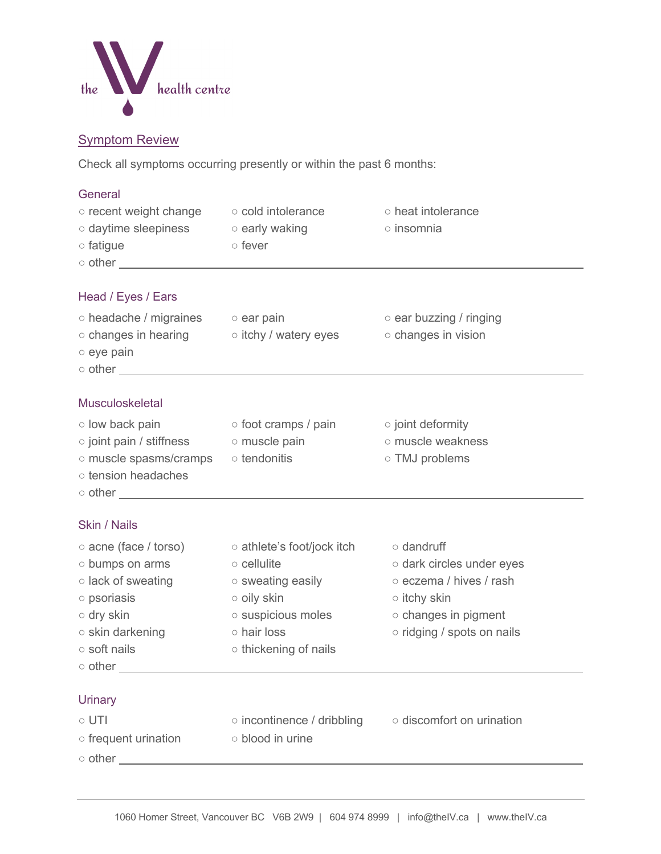

### Symptom Review

Check all symptoms occurring presently or within the past 6 months:

| General<br>o recent weight change o cold intolerance<br>○ daytime sleepiness o early waking<br>o fatigue | ⊙ fever                                                  | ○ heat intolerance<br>o insomnia                     |
|----------------------------------------------------------------------------------------------------------|----------------------------------------------------------|------------------------------------------------------|
| Head / Eyes / Ears<br>⊙ headache / migraines o ear pain                                                  |                                                          | $\circ$ ear buzzing / ringing                        |
| $\circ$ eye pain<br>$\circ$ other $\overline{\phantom{a}}$                                               | o changes in hearing o itchy / watery eyes               | o changes in vision                                  |
| <b>Musculoskeletal</b>                                                                                   |                                                          |                                                      |
|                                                                                                          | ○ low back pain bot cramps / pain bot of point deformity |                                                      |
| ○ joint pain / stiffness boomuscle pain                                                                  |                                                          | o muscle weakness                                    |
| o muscle spasms/cramps o tendonitis<br>o tension headaches                                               |                                                          | ○ TMJ problems                                       |
| <b>Skin / Nails</b>                                                                                      |                                                          |                                                      |
| $\circ$ acne (face / torso)                                                                              | ○ athlete's foot/jock itch                               | $\circ$ dandruff                                     |
| o bumps on arms                                                                                          | $\circ$ cellulite                                        | o dark circles under eyes                            |
| $\circ$ lack of sweating                                                                                 | o sweating easily                                        | o eczema / hives / rash                              |
| o psoriasis                                                                                              | o oily skin                                              | $\circ$ itchy skin                                   |
| o dry skin                                                                                               | $\circ$ suspicious moles                                 | o changes in pigment                                 |
| o skin darkening<br>o soft nails                                                                         | o hair loss<br>○ thickening of nails                     | o ridging / spots on nails                           |
| $\circ$ other $\overline{\phantom{a}}$                                                                   |                                                          |                                                      |
|                                                                                                          |                                                          |                                                      |
| Urinary                                                                                                  |                                                          |                                                      |
| $\circ$ UTI                                                                                              |                                                          | o incontinence / dribbling o discomfort on urination |
| $\circ$ frequent urination                                                                               | o blood in urine                                         |                                                      |
|                                                                                                          | $\circ$ other $\overline{\phantom{a}}$                   |                                                      |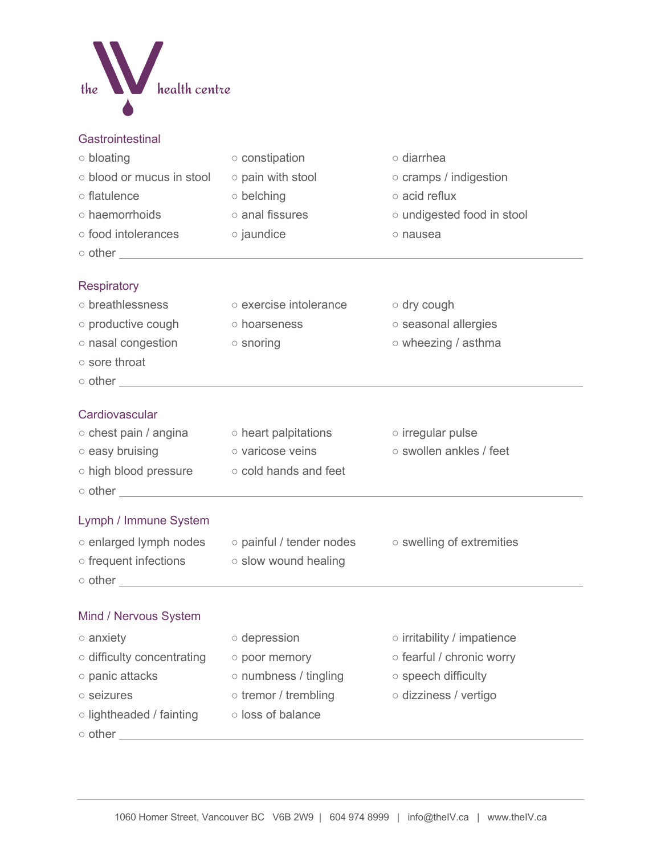

| Gastrointestinal |  |  |
|------------------|--|--|
|                  |  |  |

| ○ bloating                                              | o constipation                                                                              | o diarrhea                        |
|---------------------------------------------------------|---------------------------------------------------------------------------------------------|-----------------------------------|
| o blood or mucus in stool                               | o pain with stool                                                                           | $\circ$ cramps / indigestion      |
| o flatulence                                            | ○ belching                                                                                  | o acid reflux                     |
| o haemorrhoids                                          | o anal fissures                                                                             | o undigested food in stool        |
| o food intolerances                                     | o jaundice                                                                                  | o nausea                          |
|                                                         |                                                                                             |                                   |
|                                                         |                                                                                             |                                   |
| <b>Respiratory</b>                                      |                                                                                             |                                   |
| o breathlessness                                        | o exercise intolerance                                                                      | $\circ$ dry cough                 |
| $\circ$ productive cough                                | o hoarseness                                                                                | o seasonal allergies              |
| o nasal congestion                                      | $\circ$ snoring                                                                             | o wheezing / asthma               |
| o sore throat                                           |                                                                                             |                                   |
|                                                         |                                                                                             |                                   |
|                                                         |                                                                                             |                                   |
| Cardiovascular                                          |                                                                                             |                                   |
|                                                         | $\circ$ chest pain / angina $\qquad \circ$ heart palpitations                               | $\circ$ irregular pulse           |
| $\circ$ easy bruising                                   | o varicose veins                                                                            | o swollen ankles / feet           |
| $\circ$ high blood pressure $\circ$ cold hands and feet |                                                                                             |                                   |
|                                                         | o other <u>contracts</u>                                                                    |                                   |
| Lymph / Immune System                                   |                                                                                             |                                   |
|                                                         | $\circ$ enlarged lymph nodes $\circ$ painful / tender nodes $\circ$ swelling of extremities |                                   |
| ○ frequent infections ○ slow wound healing              |                                                                                             |                                   |
|                                                         |                                                                                             |                                   |
|                                                         |                                                                                             |                                   |
| Mind / Nervous System                                   |                                                                                             |                                   |
| $\circ$ anxiety                                         | $\circ$ depression                                                                          | $\circ$ irritability / impatience |
| o difficulty concentrating                              | o poor memory                                                                               | o fearful / chronic worry         |
| o panic attacks                                         | o numbness / tingling                                                                       | o speech difficulty               |
| o seizures                                              | $\circ$ tremor / trembling                                                                  | o dizziness / vertigo             |
| o lightheaded / fainting                                | o loss of balance                                                                           |                                   |
| $\circ$ other                                           |                                                                                             |                                   |